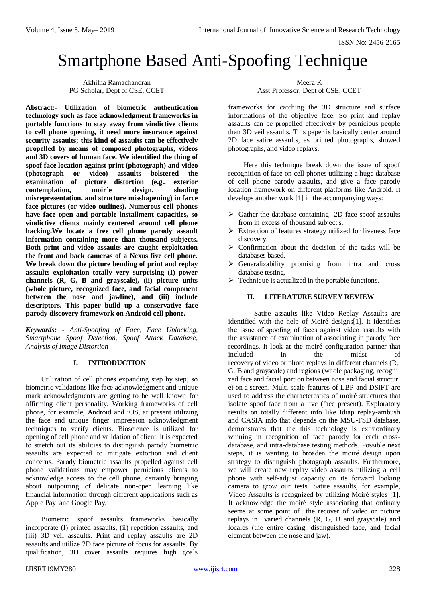# Smartphone Based Anti-Spoofing Technique

Akhilna Ramachandran PG Scholar, Dept of CSE, CCET

**Abstract:- Utilization of biometric authentication technology such as face acknowledgment frameworks in portable functions to stay away from vindictive clients to cell phone opening, it need more insurance against security assaults; this kind of assaults can be effectively propelled by means of composed photographs, videos and 3D covers of human face. We identified the thing of spoof face location against print (photograph) and video (photograph or video) assaults bolstered the examination of picture distortion (e.g., exterior contemplation, moir´e design, shading misrepresentation, and structure misshapening) in farce face pictures (or video outlines). Numerous cell phones have face open and portable installment capacities, so vindictive clients mainly centered around cell phone hacking.We locate a free cell phone parody assault information containing more than thousand subjects. Both print and video assaults are caught exploitation the front and back cameras of a Nexus five cell phone. We break down the picture bending of print and replay assaults exploitation totally very surprising (I) power channels (R, G, B and grayscale), (ii) picture units (whole picture, recognized face, and facial component between the nose and jawline), and (iii) include descriptors. This paper build up a conservative face parody discovery framework on Android cell phone.** 

*Keywords: - Anti-Spoofing of Face, Face Unlocking, Smartphone Spoof Detection, Spoof Attack Database, Analysis of Image Distortion* 

## **I. INTRODUCTION**

Utilization of cell phones expanding step by step, so biometric validations like face acknowledgment and unique mark acknowledgments are getting to be well known for affirming client personality. Working frameworks of cell phone, for example, Android and iOS, at present utilizing the face and unique finger impression acknowledgment techniques to verify clients. Bioscience is utilized for opening of cell phone and validation of client, it is expected to stretch out its abilities to distinguish parody biometric assaults are expected to mitigate extortion and client concerns. Parody biometric assaults propelled against cell phone validations may empower pernicious clients to acknowledge access to the cell phone, certainly bringing about outpouring of delicate non-open learning like financial information through different applications such as Apple Pay and Google Pay.

Biometric spoof assaults frameworks basically incorporate (I) printed assaults, (ii) repetition assaults, and (iii) 3D veil assaults. Print and replay assaults are 2D assaults and utilize 2D face picture of focus for assaults. By qualification, 3D cover assaults requires high goals

Meera K Asst Professor, Dept of CSE, CCET

frameworks for catching the 3D structure and surface informations of the objective face. So print and replay assaults can be propelled effectively by pernicious people than 3D veil assaults. This paper is basically center around 2D face satire assaults, as printed photographs, showed photographs, and video replays.

Here this technique break down the issue of spoof recognition of face on cell phones utilizing a huge database of cell phone parody assaults, and give a face parody location framework on different platforms like Android. It develops another work [1] in the accompanying ways:

- $\triangleright$  Gather the database containing 2D face spoof assaults from in excess of thousand subject's.
- $\triangleright$  Extraction of features strategy utilized for liveness face discovery.
- $\triangleright$  Confirmation about the decision of the tasks will be databases based.
- $\triangleright$  Generalizability promising from intra and cross database testing.
- $\triangleright$  Technique is actualized in the portable functions.

### **II. LITERATURE SURVEY REVIEW**

Satire assaults like Video Replay Assaults are identified with the help of Moiré designs[1]. It identifies the issue of spoofing of faces against video assaults with the assistance of examination of associating in parody face recordings. It look at the moiré configuration partner that included in the midst of recovery of video or photo replays in different channels (R, G, B and grayscale) and regions (whole packaging, recogni zed face and facial portion between nose and facial structur e) on a screen. Multi-scale features of LBP and DSIFT are used to address the characterestics of moiré structures that isolate spoof face from a live (face present). Exploratory results on totally different info like Idiap replay-ambush and CASIA info that depends on the MSU-FSD database, demonstrates that the this technology is extraordinary winning in recognition of face parody for each crossdatabase, and intra-database testing methods. Possible next steps, it is wanting to broaden the moiré design upon strategy to distinguish photograph assaults. Furthermore, we will create new replay video assaults utilizing a cell phone with self-adjust capacity on its forward looking camera to grow our tests. Satire assaults, for example, Video Assaults is recognized by utilizing Moiré styles [1]. It acknowledge the moiré style associating that ordinary seems at some point of the recover of video or picture replays in varied channels (R, G, B and grayscale) and locales (the entire casing, distinguished face, and facial element between the nose and jaw).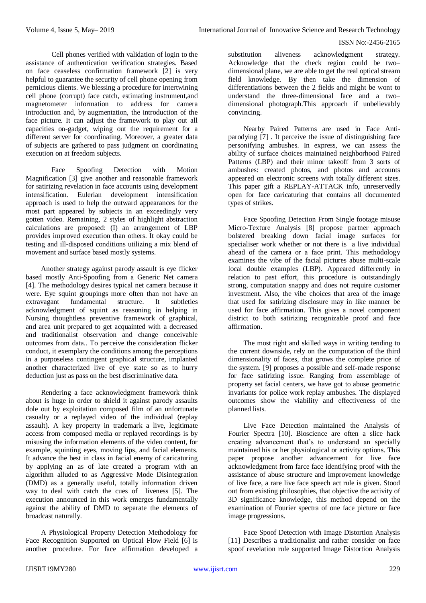Cell phones verified with validation of login to the assistance of authentication verification strategies. Based on face ceaseless confirmation framework [2] is very helpful to guarantee the security of cell phone opening from pernicious clients. We blessing a procedure for intertwining cell phone (corrupt) face catch, estimating instrument,and magnetometer information to address for camera introduction and, by augmentation, the introduction of the face picture. It can adjust the framework to play out all capacities on-gadget, wiping out the requirement for a different server for coordinating. Moreover, a greater data of subjects are gathered to pass judgment on coordinating execution on at freedom subjects.

Face Spoofing Detection with Motion Magnification [3] give another and reasonable framework for satirizing revelation in face accounts using development intensification. Eulerian development intensification approach is used to help the outward appearances for the most part appeared by subjects in an exceedingly very gotten video. Remaining, 2 styles of highlight abstraction calculations are proposed: (I) an arrangement of LBP provides improved execution than others. It okay could be testing and ill-disposed conditions utilizing a mix blend of movement and surface based mostly systems.

Another strategy against parody assault is eye flicker based mostly Anti-Spoofing from a Generic Net camera [4]. The methodology desires typical net camera because it were. Eye squint groupings more often than not have an extravagant fundamental structure. It subtleties acknowledgment of squint as reasoning in helping in Nursing thoughtless preventive framework of graphical, and area unit prepared to get acquainted with a decreased and traditionalist observation and change conceivable outcomes from data.. To perceive the consideration flicker conduct, it exemplary the conditions among the perceptions in a purposeless contingent graphical structure, implanted another characterized live of eye state so as to hurry deduction just as pass on the best discriminative data.

Rendering a face acknowledgment framework think about is huge in order to shield it against parody assaults dole out by exploitation composed film of an unfortunate casualty or a replayed video of the individual (replay assault). A key property in trademark a live, legitimate access from composed media or replayed recordings is by misusing the information elements of the video content, for example, squinting eyes, moving lips, and facial elements. It advance the best in class in facial enemy of caricaturing by applying an as of late created a program with an algorithm alluded to as Aggressive Mode Disintegration (DMD) as a generally useful, totally information driven way to deal with catch the cues of liveness [5]. The execution announced in this work emerges fundamentally against the ability of DMD to separate the elements of broadcast naturally.

A Physiological Property Detection Methodology for Face Recognition Supported on Optical Flow Field [6] is another procedure. For face affirmation developed a

substitution aliveness acknowledgment strategy. Acknowledge that the check region could be two– dimensional plane, we are able to get the real optical stream field knowledge. By then take the dimension of differentiations between the 2 fields and might be wont to understand the three-dimensional face and a two– dimensional photograph.This approach if unbelievably convincing.

Nearby Paired Patterns are used in Face Antiparodying [7] . It perceive the issue of distinguishing face personifying ambushes. In express, we can assess the ability of surface choices maintained neighborhood Paired Patterns (LBP) and their minor takeoff from 3 sorts of ambushes: created photos, and photos and accounts appeared on electronic screens with totally different sizes. This paper gift a REPLAY-ATTACK info, unreservedly open for face caricaturing that contains all documented types of strikes.

Face Spoofing Detection From Single footage misuse Micro-Texture Analysis [8] propose partner approach bolstered breaking down facial image surfaces for specialiser work whether or not there is a live individual ahead of the camera or a face print. This methodology examines the vibe of the facial pictures abuse multi-scale local double examples (LBP). Appeared differently in relation to past effort, this procedure is outstandingly strong, computation snappy and does not require customer investment. Also, the vibe choices that area of the image that used for satirizing disclosure may in like manner be used for face affirmation. This gives a novel component district to both satirizing recognizable proof and face affirmation.

The most right and skilled ways in writing tending to the current downside, rely on the computation of the third dimensionality of faces, that grows the complete price of the system. [9] proposes a possible and self-made response for face satirizing issue. Ranging from assemblage of property set facial centers, we have got to abuse geometric invariants for police work replay ambushes. The displayed outcomes show the viability and effectiveness of the planned lists.

Live Face Detection maintained the Analysis of Fourier Spectra [10]. Bioscience are often a slice hack creating advancement that's to understand an specially maintained his or her physiological or activity options. This paper propose another advancement for live face acknowledgment from farce face identifying proof with the assistance of abuse structure and improvement knowledge of live face, a rare live face speech act rule is given. Stood out from existing philosophies, that objective the activity of 3D significance knowledge, this method depend on the examination of Fourier spectra of one face picture or face image progressions.

Face Spoof Detection with Image Distortion Analysis [11] Describes a traditionalist and rather consider on face spoof revelation rule supported Image Distortion Analysis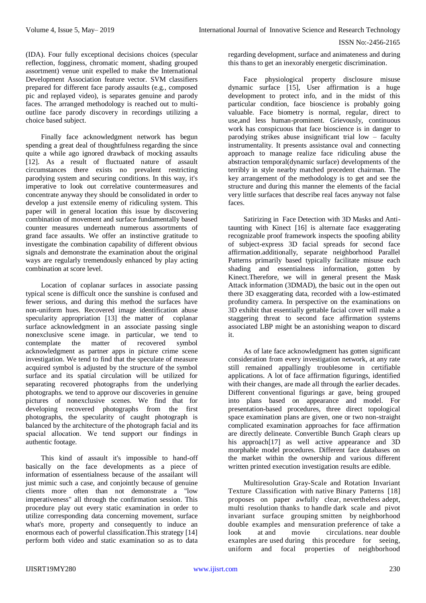(IDA). Four fully exceptional decisions choices (specular reflection, fogginess, chromatic moment, shading grouped assortment) venue unit expelled to make the International Development Association feature vector. SVM classifiers prepared for different face parody assaults (e.g., composed pic and replayed video), is separates genuine and parody faces. The arranged methodology is reached out to multioutline face parody discovery in recordings utilizing a choice based subject.

Finally face acknowledgment network has begun spending a great deal of thoughtfulness regarding the since quite a while ago ignored drawback of mocking assaults [12]. As a result of fluctuated nature of assault circumstances there exists no prevalent restricting parodying system and securing conditions. In this way, it's imperative to look out correlative countermeasures and concentrate anyway they should be consolidated in order to develop a just extensile enemy of ridiculing system. This paper will in general location this issue by discovering combination of movement and surface fundamentally based counter measures underneath numerous assortments of grand face assaults. We offer an instinctive gratitude to investigate the combination capability of different obvious signals and demonstrate the examination about the original ways are regularly tremendously enhanced by play acting combination at score level.

Location of coplanar surfaces in associate passing typical scene is difficult once the sunshine is confused and fewer serious, and during this method the surfaces have non-uniform hues. Recovered image identification abuse specularity appropriation [13] the matter of coplanar surface acknowledgment in an associate passing single nonexclusive scene image. in particular, we tend to contemplate the matter of recovered symbol acknowledgment as partner apps in picture crime scene investigation. We tend to find that the speculate of measure acquired symbol is adjusted by the structure of the symbol surface and its spatial circulation will be utilized for separating recovered photographs from the underlying photographs. we tend to approve our discoveries in genuine pictures of nonexclusive scenes. We find that for developing recovered photographs from the first photographs, the specularity of caught photograph is balanced by the architecture of the photograph facial and its spacial allocation. We tend support our findings in authentic footage.

This kind of assault it's impossible to hand-off basically on the face developments as a piece of information of essentialness because of the assailant will just mimic such a case, and conjointly because of genuine clients more often than not demonstrate a "low imperativeness" all through the confirmation session. This procedure play out every static examination in order to utilize corresponding data concerning movement, surface what's more, property and consequently to induce an enormous each of powerful classification.This strategy [14] perform both video and static examination so as to data

regarding development, surface and animateness and during this thans to get an inexorably energetic discrimination.

Face physiological property disclosure misuse dynamic surface [15], User affirmation is a huge development to protect info, and in the midst of this particular condition, face bioscience is probably going valuable. Face biometry is normal, regular, direct to use,and less human-prominent. Grievously, continuous work has conspicuous that face bioscience is in danger to parodying strikes abuse insignificant trial low – faculty instrumentality. It presents assistance oval and connecting approach to manage realize face ridiculing abuse the abstraction temporal(dynamic surface) developments of the terribly in style nearby matched precedent chairman. The key arrangement of the methodology is to get and see the structure and during this manner the elements of the facial very little surfaces that describe real faces anyway not false faces.

Satirizing in Face Detection with 3D Masks and Antitaunting with Kinect [16] is alternate face exaggerating recognizable proof framework inspects the spoofing ability of subject-express 3D facial spreads for second face affirmation.additionally, separate neighborhood Parallel Patterns primarily based typically facilitate misuse each shading and essentialness information, gotten by Kinect.Therefore, we will in general present the Mask Attack information (3DMAD), the basic out in the open out there 3D exaggerating data, recorded with a low-estimated profundity camera. In perspective on the examinations on 3D exhibit that essentially gettable facial cover will make a staggering threat to second face affirmation systems associated LBP might be an astonishing weapon to discard it.

As of late face acknowledgment has gotten significant consideration from every investigation network, at any rate still remained appallingly troublesome in certifiable applications. A lot of face affirmation figurings, identified with their changes, are made all through the earlier decades. Different conventional figurings ar gave, being grouped into plans based on appearance and model. For presentation-based procedures, three direct topological space examination plans are given, one or two non-straight complicated examination approaches for face affirmation are directly delineate. Convertible Bunch Graph clears up his approach<sup>[17]</sup> as well active appearance and 3D morphable model procedures. Different face databases on the market within the ownership and various different written printed execution investigation results are edible.

Multiresolution Gray-Scale and Rotation Invariant Texture Classification with native Binary Patterns [18] proposes on paper awfully clear, nevertheless adept, multi resolution thanks to handle dark scale and pivot invariant surface grouping smitten by neighborhood double examples and mensuration preference of take a look at and movie circulations. near double examples are used during this procedure for seeing, uniform and focal properties of neighborhood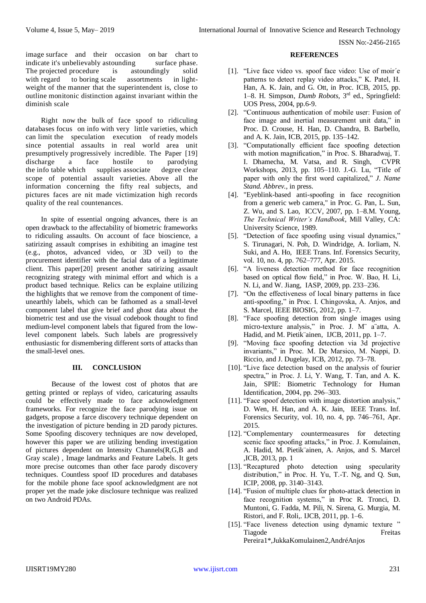image surface and their occasion on bar chart to indicate it's unbelievably astounding surface phase. The projected procedure is astoundingly solid with regard to boring scale assortments in lightweight of the manner that the superintendent is, close to outline monitonic distinction against invariant within the diminish scale

Right now the bulk of face spoof to ridiculing databases focus on info with very little varieties, which can limit the speculation execution of ready models since potential assaults in real world area unit presumptively progressively incredible. The Paper [19]<br>discharge a face hostile to parodying a face hostile to parodying the info table which supplies associate degree clear scope of potential assault varieties. Above all the information concerning the fifty real subjects, and pictures faces are nit made victimization high records quality of the real countenances.

In spite of essential ongoing advances, there is an open drawback to the affectability of biometric frameworks to ridiculing assaults. On account of face bioscience, a satirizing assault comprises in exhibiting an imagine test (e.g., photos, advanced video, or 3D veil) to the procurement identifier with the facial data of a legitimate client. This paper[20] present another satirizing assault recognizing strategy with minimal effort and which is a product based technique. Relics can be explaine utilizing the highlights that we remove from the component of timeunearthly labels, which can be fathomed as a small-level component label that give brief and ghost data about the biometric test and use the visual codebook thought to find medium-level component labels that figured from the lowlevel component labels. Such labels are progressively enthusiastic for dismembering different sorts of attacks than the small-level ones.

## **III. CONCLUSION**

Because of the lowest cost of photos that are getting printed or replays of video, caricaturing assaults could be effectively made to face acknowledgment frameworks. For recognize the face parodying issue on gadgets, propose a farce discovery technique dependent on the investigation of picture bending in 2D parody pictures. Some Spoofing discovery techniques are now developed, however this paper we are utilizing bending investigation of pictures dependent on Intensity Channels(R,G,B and Gray scale) , Image landmarks and Feature Labels. It gets more precise outcomes than other face parody discovery techniques. Countless spoof ID procedures and databases for the mobile phone face spoof acknowledgment are not proper yet the made joke disclosure technique was realized on two Android PDAs.

#### **REFERENCES**

- [1]. "Live face video vs. spoof face video: Use of moir´e patterns to detect replay video attacks," K. Patel, H. Han, A. K. Jain, and G. Ott, in Proc. ICB, 2015, pp. 1–8. H. Simpson, *Dumb Robots*, 3rd ed., Springfield: UOS Press, 2004, pp.6-9.
- [2]. "Continuous authentication of mobile user: Fusion of face image and inertial measurement unit data," in Proc. D. Crouse, H. Han, D. Chandra, B. Barbello, and A. K. Jain, ICB, 2015, pp. 135–142.
- [3]. "Computationally efficient face spoofing detection with motion magnification," in Proc. S. Bharadwaj, T. I. Dhamecha, M. Vatsa, and R. Singh, CVPR Workshops, 2013, pp. 105–110. J.-G. Lu, "Title of paper with only the first word capitalized," *J. Name Stand. Abbrev.*, in press.
- [4]. "Eyeblink-based anti-spoofing in face recognition from a generic web camera," in Proc. G. Pan, L. Sun, Z. Wu, and S. Lao, ICCV, 2007, pp. 1–8.M. Young, *The Technical Writer's Handbook*, Mill Valley, CA: University Science, 1989.
- [5]. "Detection of face spoofing using visual dynamics," S. Tirunagari, N. Poh, D. Windridge, A. Iorliam, N. Suki, and A. Ho, IEEE Trans. Inf. Forensics Security, vol. 10, no. 4, pp. 762–777, Apr. 2015.
- [6]. "A liveness detection method for face recognition based on optical flow field," in Proc. W. Bao, H. Li, N. Li, and W. Jiang, IASP, 2009, pp. 233–236.
- [7]. "On the effectiveness of local binary patterns in face anti-spoofing," in Proc. I. Chingovska, A. Anjos, and S. Marcel, IEEE BIOSIG, 2012, pp. 1–7.
- [8]. "Face spoofing detection from single images using micro-texture analysis," in Proc. J. M¨ a¨atta, A. Hadid, and M. Pietik¨ainen, IJCB, 2011, pp. 1–7.
- [9]. "Moving face spoofing detection via 3d projective invariants," in Proc. M. De Marsico, M. Nappi, D. Riccio, and J. Dugelay, ICB, 2012, pp. 73–78.
- [10]. "Live face detection based on the analysis of fourier spectra," in Proc. J. Li, Y. Wang, T. Tan, and A. K. Jain, SPIE: Biometric Technology for Human Identification, 2004, pp. 296–303.
- [11]. "Face spoof detection with image distortion analysis," D. Wen, H. Han, and A. K. Jain, IEEE Trans. Inf. Forensics Security, vol. 10, no. 4, pp. 746–761, Apr. 2015.
- [12]. "Complementary countermeasures for detecting scenic face spoofing attacks," in Proc. J. Komulainen, A. Hadid, M. Pietik¨ainen, A. Anjos, and S. Marcel ,ICB, 2013, pp. 1
- [13]. "Recaptured photo detection using specularity distribution," in Proc. H. Yu, T.-T. Ng, and Q. Sun, ICIP, 2008, pp. 3140–3143.
- [14]. "Fusion of multiple clues for photo-attack detection in face recognition systems," in Proc R. Tronci, D. Muntoni, G. Fadda, M. Pili, N. Sirena, G. Murgia, M. Ristori, and F. Roli,. IJCB, 2011, pp. 1–6.
- [15]. "Face liveness detection using dynamic texture " Tiagode Freitas Pereira1\*,JukkaKomulainen2,AndréAnjos